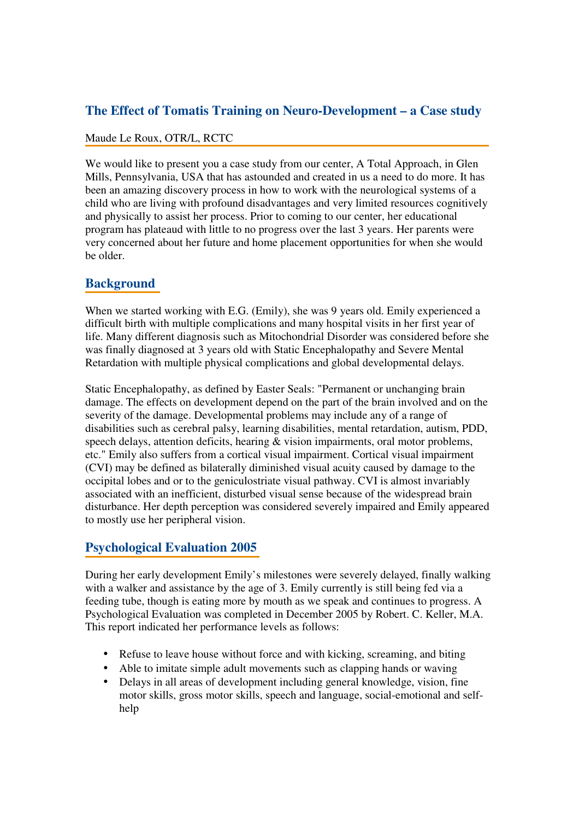### **The Effect of Tomatis Training on Neuro-Development – a Case study**

#### Maude Le Roux, OTR/L, RCTC

We would like to present you a case study from our center, A Total Approach, in Glen Mills, Pennsylvania, USA that has astounded and created in us a need to do more. It has been an amazing discovery process in how to work with the neurological systems of a child who are living with profound disadvantages and very limited resources cognitively and physically to assist her process. Prior to coming to our center, her educational program has plateaud with little to no progress over the last 3 years. Her parents were very concerned about her future and home placement opportunities for when she would be older.

## **Background**

When we started working with E.G. (Emily), she was 9 years old. Emily experienced a difficult birth with multiple complications and many hospital visits in her first year of life. Many different diagnosis such as Mitochondrial Disorder was considered before she was finally diagnosed at 3 years old with Static Encephalopathy and Severe Mental Retardation with multiple physical complications and global developmental delays.

Static Encephalopathy, as defined by Easter Seals: "Permanent or unchanging brain damage. The effects on development depend on the part of the brain involved and on the severity of the damage. Developmental problems may include any of a range of disabilities such as cerebral palsy, learning disabilities, mental retardation, autism, PDD, speech delays, attention deficits, hearing & vision impairments, oral motor problems, etc." Emily also suffers from a cortical visual impairment. Cortical visual impairment (CVI) may be defined as bilaterally diminished visual acuity caused by damage to the occipital lobes and or to the geniculostriate visual pathway. CVI is almost invariably associated with an inefficient, disturbed visual sense because of the widespread brain disturbance. Her depth perception was considered severely impaired and Emily appeared to mostly use her peripheral vision.

# **Psychological Evaluation 2005**

During her early development Emily's milestones were severely delayed, finally walking with a walker and assistance by the age of 3. Emily currently is still being fed via a feeding tube, though is eating more by mouth as we speak and continues to progress. A Psychological Evaluation was completed in December 2005 by Robert. C. Keller, M.A. This report indicated her performance levels as follows:

- Refuse to leave house without force and with kicking, screaming, and biting
- Able to imitate simple adult movements such as clapping hands or waving
- Delays in all areas of development including general knowledge, vision, fine motor skills, gross motor skills, speech and language, social-emotional and selfhelp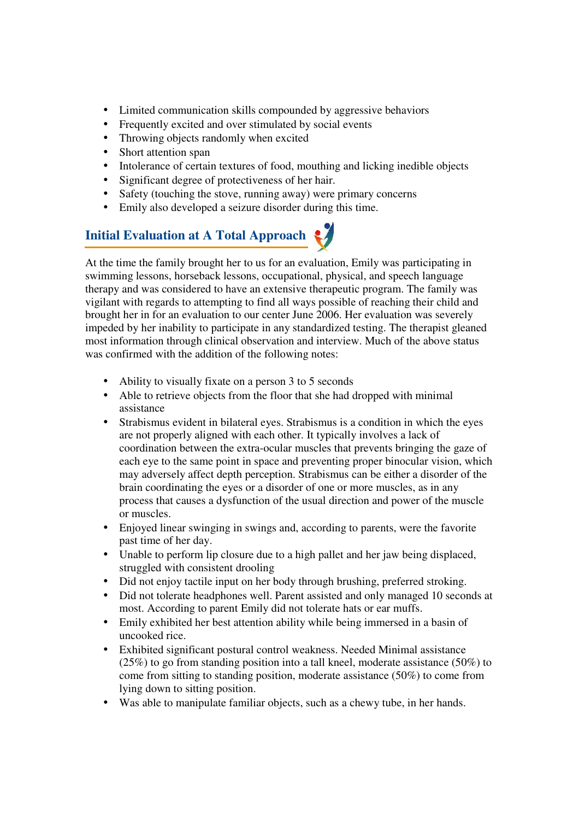- Limited communication skills compounded by aggressive behaviors
- Frequently excited and over stimulated by social events
- Throwing objects randomly when excited
- Short attention span
- Intolerance of certain textures of food, mouthing and licking inedible objects
- Significant degree of protectiveness of her hair.
- Safety (touching the stove, running away) were primary concerns
- Emily also developed a seizure disorder during this time.

# **Initial Evaluation at A Total Approach**

At the time the family brought her to us for an evaluation, Emily was participating in swimming lessons, horseback lessons, occupational, physical, and speech language therapy and was considered to have an extensive therapeutic program. The family was vigilant with regards to attempting to find all ways possible of reaching their child and brought her in for an evaluation to our center June 2006. Her evaluation was severely impeded by her inability to participate in any standardized testing. The therapist gleaned most information through clinical observation and interview. Much of the above status was confirmed with the addition of the following notes:

- Ability to visually fixate on a person 3 to 5 seconds
- Able to retrieve objects from the floor that she had dropped with minimal assistance
- Strabismus evident in bilateral eyes. Strabismus is a condition in which the eyes are not properly aligned with each other. It typically involves a lack of coordination between the extra-ocular muscles that prevents bringing the gaze of each eye to the same point in space and preventing proper binocular vision, which may adversely affect depth perception. Strabismus can be either a disorder of the brain coordinating the eyes or a disorder of one or more muscles, as in any process that causes a dysfunction of the usual direction and power of the muscle or muscles.
- Enjoyed linear swinging in swings and, according to parents, were the favorite past time of her day.
- Unable to perform lip closure due to a high pallet and her jaw being displaced, struggled with consistent drooling
- Did not enjoy tactile input on her body through brushing, preferred stroking.
- Did not tolerate headphones well. Parent assisted and only managed 10 seconds at most. According to parent Emily did not tolerate hats or ear muffs.
- Emily exhibited her best attention ability while being immersed in a basin of uncooked rice.
- Exhibited significant postural control weakness. Needed Minimal assistance (25%) to go from standing position into a tall kneel, moderate assistance (50%) to come from sitting to standing position, moderate assistance (50%) to come from lying down to sitting position.
- Was able to manipulate familiar objects, such as a chewy tube, in her hands.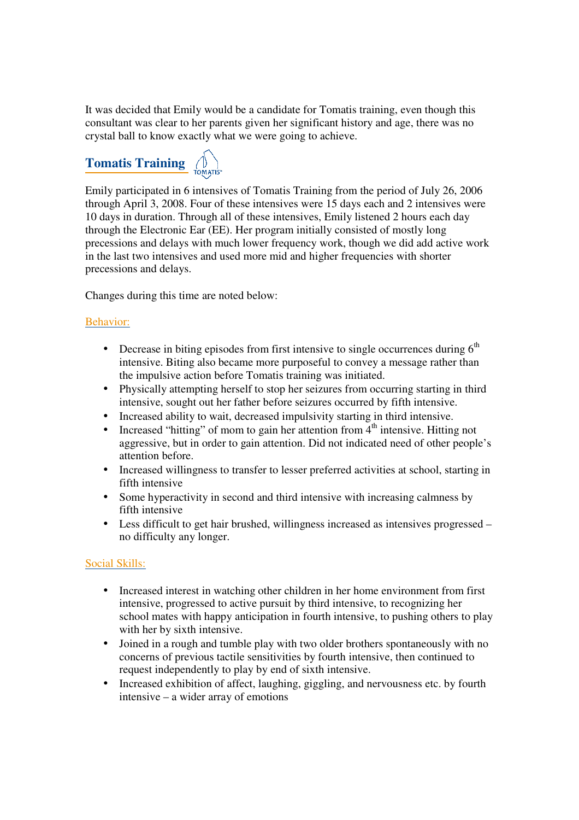It was decided that Emily would be a candidate for Tomatis training, even though this consultant was clear to her parents given her significant history and age, there was no crystal ball to know exactly what we were going to achieve.

# **Tomatis Training**  $\begin{pmatrix} 0 \\ \text{IOMATIS} \end{pmatrix}$

Emily participated in 6 intensives of Tomatis Training from the period of July 26, 2006 through April 3, 2008. Four of these intensives were 15 days each and 2 intensives were 10 days in duration. Through all of these intensives, Emily listened 2 hours each day through the Electronic Ear (EE). Her program initially consisted of mostly long precessions and delays with much lower frequency work, though we did add active work in the last two intensives and used more mid and higher frequencies with shorter precessions and delays.

Changes during this time are noted below:

#### Behavior:

- Decrease in biting episodes from first intensive to single occurrences during  $6<sup>th</sup>$ intensive. Biting also became more purposeful to convey a message rather than the impulsive action before Tomatis training was initiated.
- Physically attempting herself to stop her seizures from occurring starting in third intensive, sought out her father before seizures occurred by fifth intensive.
- Increased ability to wait, decreased impulsivity starting in third intensive.
- Increased "hitting" of mom to gain her attention from  $\overline{4}^{th}$  intensive. Hitting not aggressive, but in order to gain attention. Did not indicated need of other people's attention before.
- Increased willingness to transfer to lesser preferred activities at school, starting in fifth intensive
- Some hyperactivity in second and third intensive with increasing calmness by fifth intensive
- Less difficult to get hair brushed, willingness increased as intensives progressed no difficulty any longer.

#### Social Skills:

- Increased interest in watching other children in her home environment from first intensive, progressed to active pursuit by third intensive, to recognizing her school mates with happy anticipation in fourth intensive, to pushing others to play with her by sixth intensive.
- Joined in a rough and tumble play with two older brothers spontaneously with no concerns of previous tactile sensitivities by fourth intensive, then continued to request independently to play by end of sixth intensive.
- Increased exhibition of affect, laughing, giggling, and nervousness etc. by fourth intensive – a wider array of emotions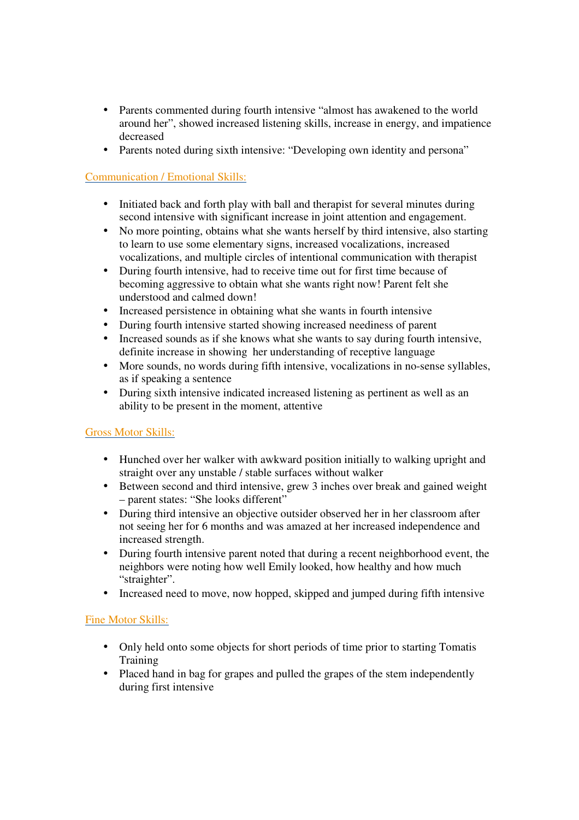- Parents commented during fourth intensive "almost has awakened to the world around her", showed increased listening skills, increase in energy, and impatience decreased
- Parents noted during sixth intensive: "Developing own identity and persona"

#### Communication / Emotional Skills:

- Initiated back and forth play with ball and therapist for several minutes during second intensive with significant increase in joint attention and engagement.
- No more pointing, obtains what she wants herself by third intensive, also starting to learn to use some elementary signs, increased vocalizations, increased vocalizations, and multiple circles of intentional communication with therapist
- During fourth intensive, had to receive time out for first time because of becoming aggressive to obtain what she wants right now! Parent felt she understood and calmed down!
- Increased persistence in obtaining what she wants in fourth intensive
- During fourth intensive started showing increased neediness of parent
- Increased sounds as if she knows what she wants to say during fourth intensive, definite increase in showing her understanding of receptive language
- More sounds, no words during fifth intensive, vocalizations in no-sense syllables, as if speaking a sentence
- During sixth intensive indicated increased listening as pertinent as well as an ability to be present in the moment, attentive

#### Gross Motor Skills:

- Hunched over her walker with awkward position initially to walking upright and straight over any unstable / stable surfaces without walker
- Between second and third intensive, grew 3 inches over break and gained weight – parent states: "She looks different"
- During third intensive an objective outsider observed her in her classroom after not seeing her for 6 months and was amazed at her increased independence and increased strength.
- During fourth intensive parent noted that during a recent neighborhood event, the neighbors were noting how well Emily looked, how healthy and how much "straighter".
- Increased need to move, now hopped, skipped and jumped during fifth intensive

#### Fine Motor Skills:

- Only held onto some objects for short periods of time prior to starting Tomatis **Training**
- Placed hand in bag for grapes and pulled the grapes of the stem independently during first intensive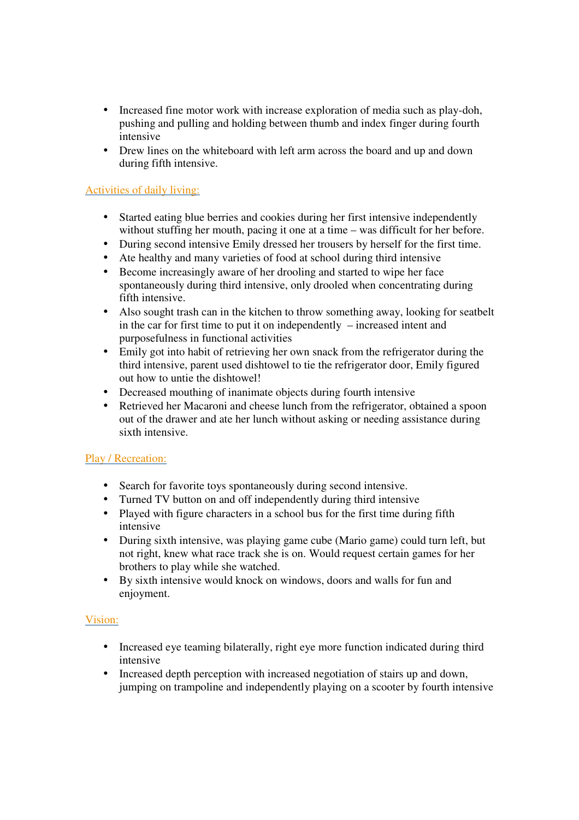- Increased fine motor work with increase exploration of media such as play-doh, pushing and pulling and holding between thumb and index finger during fourth intensive
- Drew lines on the whiteboard with left arm across the board and up and down during fifth intensive.

#### Activities of daily living:

- Started eating blue berries and cookies during her first intensive independently without stuffing her mouth, pacing it one at a time – was difficult for her before.
- During second intensive Emily dressed her trousers by herself for the first time.
- Ate healthy and many varieties of food at school during third intensive
- Become increasingly aware of her drooling and started to wipe her face spontaneously during third intensive, only drooled when concentrating during fifth intensive.
- Also sought trash can in the kitchen to throw something away, looking for seatbelt in the car for first time to put it on independently – increased intent and purposefulness in functional activities
- Emily got into habit of retrieving her own snack from the refrigerator during the third intensive, parent used dishtowel to tie the refrigerator door, Emily figured out how to untie the dishtowel!
- Decreased mouthing of inanimate objects during fourth intensive
- Retrieved her Macaroni and cheese lunch from the refrigerator, obtained a spoon out of the drawer and ate her lunch without asking or needing assistance during sixth intensive.

#### Play / Recreation:

- Search for favorite toys spontaneously during second intensive.
- Turned TV button on and off independently during third intensive
- Played with figure characters in a school bus for the first time during fifth intensive
- During sixth intensive, was playing game cube (Mario game) could turn left, but not right, knew what race track she is on. Would request certain games for her brothers to play while she watched.
- By sixth intensive would knock on windows, doors and walls for fun and enjoyment.

#### Vision:

- Increased eye teaming bilaterally, right eye more function indicated during third intensive
- Increased depth perception with increased negotiation of stairs up and down, jumping on trampoline and independently playing on a scooter by fourth intensive